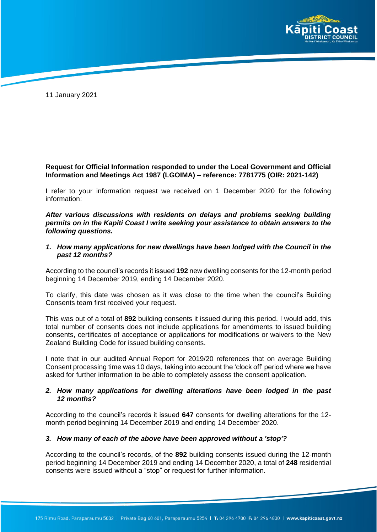

11 January 2021

# **Request for Official Information responded to under the Local Government and Official Information and Meetings Act 1987 (LGOIMA) – reference: 7781775 (OIR: 2021-142)**

I refer to your information request we received on 1 December 2020 for the following information:

*After various discussions with residents on delays and problems seeking building permits on in the Kapiti Coast I write seeking your assistance to obtain answers to the following questions.*

### *1. How many applications for new dwellings have been lodged with the Council in the past 12 months?*

According to the council's records it issued **192** new dwelling consents for the 12-month period beginning 14 December 2019, ending 14 December 2020.

To clarify, this date was chosen as it was close to the time when the council's Building Consents team first received your request.

This was out of a total of **892** building consents it issued during this period. I would add, this total number of consents does not include applications for amendments to issued building consents, certificates of acceptance or applications for modifications or waivers to the New Zealand Building Code for issued building consents.

I note that in our audited Annual Report for 2019/20 references that on average Building Consent processing time was 10 days, taking into account the 'clock off' period where we have asked for further information to be able to completely assess the consent application.

## *2. How many applications for dwelling alterations have been lodged in the past 12 months?*

According to the council's records it issued **647** consents for dwelling alterations for the 12 month period beginning 14 December 2019 and ending 14 December 2020.

#### *3. How many of each of the above have been approved without a 'stop'?*

According to the council's records, of the **892** building consents issued during the 12-month period beginning 14 December 2019 and ending 14 December 2020, a total of **248** residential consents were issued without a "stop" or request for further information.